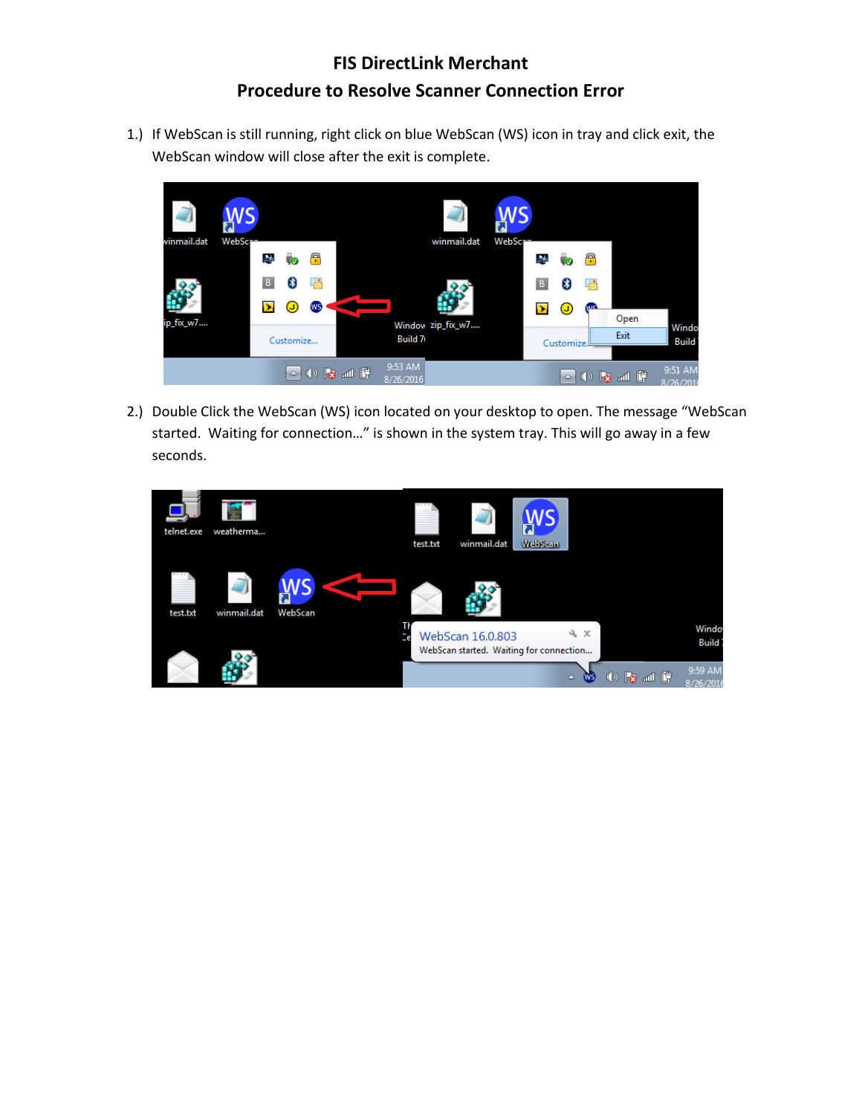## **FIS DirectLink Merchant Procedure to Resolve Scanner Connection Error**

1.) If WebScan is still running, right click on blue WebScan (WS) icon in tray and click exit, the WebScan window will close after the exit is complete.



2.) Double Click the WebScan (WS) icon located on your desktop to open. The message "WebScan started. Waiting for connection…" is shown in the system tray. This will go away in a few seconds.